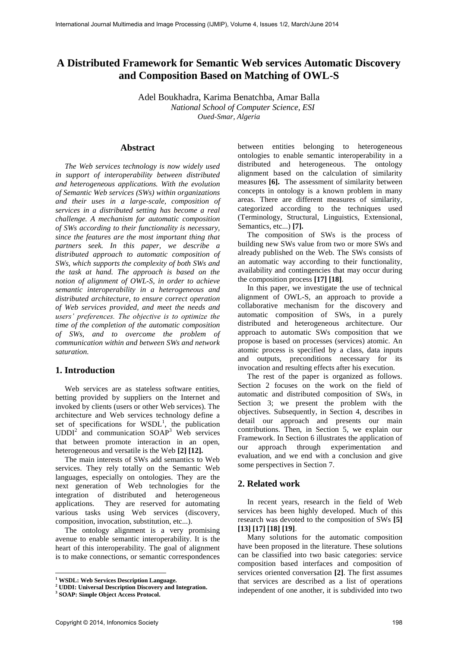# **A Distributed Framework for Semantic Web services Automatic Discovery and Composition Based on Matching of OWL-S**

Adel Boukhadra, Karima Benatchba, Amar Balla *National School of Computer Science, ESI Oued-Smar, Algeria* 

# **Abstract**

*The Web services technology is now widely used in support of interoperability between distributed and heterogeneous applications. With the evolution of Semantic Web services (SWs) within organizations and their uses in a large-scale, composition of services in a distributed setting has become a real challenge. A mechanism for automatic composition of SWs according to their functionality is necessary, since the features are the most important thing that partners seek. In this paper, we describe a distributed approach to automatic composition of SWs, which supports the complexity of both SWs and the task at hand. The approach is based on the notion of alignment of OWL-S, in order to achieve semantic interoperability in a heterogeneous and distributed architecture, to ensure correct operation of Web services provided, and meet the needs and users' preferences. The objective is to optimize the time of the completion of the automatic composition of SWs, and to overcome the problem of communication within and between SWs and network saturation.* 

# **1. Introduction**

Web services are as stateless software entities, betting provided by suppliers on the Internet and invoked by clients (users or other Web services). The architecture and Web services technology define a set of specifications for  $WSDL<sup>1</sup>$ , the publication UDDI<sup>2</sup> and communication SOAP<sup>3</sup> Web services that between promote interaction in an open, heterogeneous and versatile is the Web **[2] [12].**

The main interests of SWs add semantics to Web services. They rely totally on the Semantic Web languages, especially on ontologies. They are the next generation of Web technologies for the integration of distributed and heterogeneous applications. They are reserved for automating various tasks using Web services (discovery, composition, invocation, substitution, etc...).

The ontology alignment is a very promising avenue to enable semantic interoperability. It is the heart of this interoperability. The goal of alignment is to make connections, or semantic correspondences

between entities belonging to heterogeneous ontologies to enable semantic interoperability in a distributed and heterogeneous. The ontology alignment based on the calculation of similarity measures **[6].** The assessment of similarity between concepts in ontology is a known problem in many areas. There are different measures of similarity, categorized according to the techniques used (Terminology, Structural, Linguistics, Extensional, Semantics, etc...) **[7].**

The composition of SWs is the process of building new SWs value from two or more SWs and already published on the Web. The SWs consists of an automatic way according to their functionality, availability and contingencies that may occur during the composition process **[17] [18]**.

In this paper, we investigate the use of technical alignment of OWL-S, an approach to provide a collaborative mechanism for the discovery and automatic composition of SWs, in a purely distributed and heterogeneous architecture. Our approach to automatic SWs composition that we propose is based on processes (services) atomic. An atomic process is specified by a class, data inputs and outputs, preconditions necessary for its invocation and resulting effects after his execution.

The rest of the paper is organized as follows. Section 2 focuses on the work on the field of automatic and distributed composition of SWs, in Section 3; we present the problem with the objectives. Subsequently, in Section 4, describes in detail our approach and presents our main contributions. Then, in Section 5, we explain our Framework. In Section 6 illustrates the application of our approach through experimentation and evaluation, and we end with a conclusion and give some perspectives in Section 7.

# **2. Related work**

In recent years, research in the field of Web services has been highly developed. Much of this research was devoted to the composition of SWs **[5] [13] [17] [18] [19]**.

Many solutions for the automatic composition have been proposed in the literature. These solutions can be classified into two basic categories: service composition based interfaces and composition of services oriented conversation **[2]**. The first assumes that services are described as a list of operations independent of one another, it is subdivided into two

**<sup>1</sup> WSDL: Web Services Description Language.** 

**<sup>2</sup> UDDI: Universal Description Discovery and Integration.** 

**<sup>3</sup> SOAP: Simple Object Access Protocol.**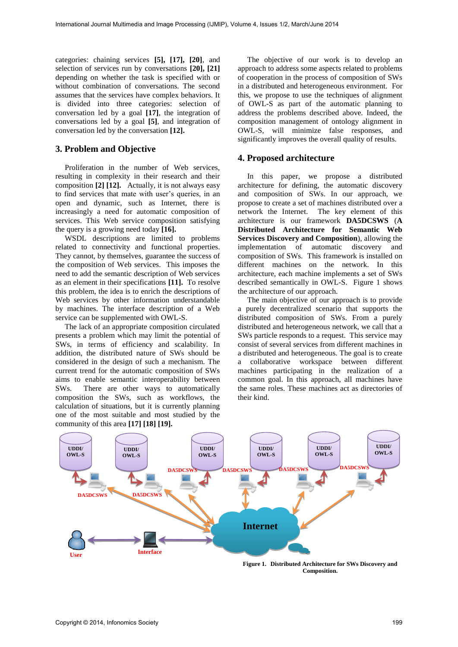categories: chaining services **[5], [17], [20]**, and selection of services run by conversations **[20], [21]** depending on whether the task is specified with or without combination of conversations. The second assumes that the services have complex behaviors. It is divided into three categories: selection of conversation led by a goal **[17]**, the integration of conversations led by a goal **[5]**, and integration of conversation led by the conversation **[12].** 

# **3. Problem and Objective**

Proliferation in the number of Web services, resulting in complexity in their research and their composition **[2] [12].** Actually, it is not always easy to find services that mate with user's queries, in an open and dynamic, such as Internet, there is increasingly a need for automatic composition of services. This Web service composition satisfying the query is a growing need today **[16].**

WSDL descriptions are limited to problems related to connectivity and functional properties. They cannot, by themselves, guarantee the success of the composition of Web services. This imposes the need to add the semantic description of Web services as an element in their specifications **[11].** To resolve this problem, the idea is to enrich the descriptions of Web services by other information understandable by machines. The interface description of a Web service can be supplemented with OWL-S.

The lack of an appropriate composition circulated presents a problem which may limit the potential of SWs, in terms of efficiency and scalability. In addition, the distributed nature of SWs should be considered in the design of such a mechanism. The current trend for the automatic composition of SWs aims to enable semantic interoperability between SWs. There are other ways to automatically composition the SWs, such as workflows, the calculation of situations, but it is currently planning one of the most suitable and most studied by the community of this area **[17] [18] [19].** 

The objective of our work is to develop an approach to address some aspects related to problems of cooperation in the process of composition of SWs in a distributed and heterogeneous environment. For this, we propose to use the techniques of alignment of OWL-S as part of the automatic planning to address the problems described above. Indeed, the composition management of ontology alignment in OWL-S, will minimize false responses, and significantly improves the overall quality of results.

### **4. Proposed architecture**

In this paper, we propose a distributed architecture for defining, the automatic discovery and composition of SWs. In our approach, we propose to create a set of machines distributed over a network the Internet. The key element of this architecture is our framework **DA5DCSWS** (**A Distributed Architecture for Semantic Web Services Discovery and Composition**), allowing the implementation of automatic discovery and composition of SWs. This framework is installed on different machines on the network. In this architecture, each machine implements a set of SWs described semantically in OWL-S. Figure 1 shows the architecture of our approach.

The main objective of our approach is to provide a purely decentralized scenario that supports the distributed composition of SWs. From a purely distributed and heterogeneous network, we call that a SWs particle responds to a request. This service may consist of several services from different machines in a distributed and heterogeneous. The goal is to create a collaborative workspace between different machines participating in the realization of a common goal. In this approach, all machines have the same roles. These machines act as directories of their kind.



**Figure 1. Distributed Architecture for SWs Discovery and Composition.**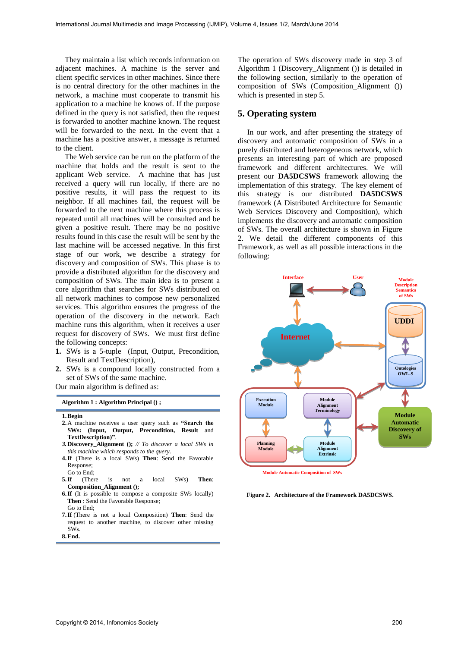They maintain a list which records information on adjacent machines. A machine is the server and client specific services in other machines. Since there is no central directory for the other machines in the network, a machine must cooperate to transmit his application to a machine he knows of. If the purpose defined in the query is not satisfied, then the request is forwarded to another machine known. The request will be forwarded to the next. In the event that a machine has a positive answer, a message is returned to the client.

The Web service can be run on the platform of the machine that holds and the result is sent to the applicant Web service. A machine that has just received a query will run locally, if there are no positive results, it will pass the request to its neighbor. If all machines fail, the request will be forwarded to the next machine where this process is repeated until all machines will be consulted and be given a positive result. There may be no positive results found in this case the result will be sent by the last machine will be accessed negative. In this first stage of our work, we describe a strategy for discovery and composition of SWs. This phase is to provide a distributed algorithm for the discovery and composition of SWs. The main idea is to present a core algorithm that searches for SWs distributed on all network machines to compose new personalized services. This algorithm ensures the progress of the operation of the discovery in the network. Each machine runs this algorithm, when it receives a user request for discovery of SWs. We must first define the following concepts:

- **1.** SWs is a 5-tuple (Input, Output, Precondition, Result and TextDescription),
- **2.** SWs is a compound locally constructed from a set of SWs of the same machine.

Our main algorithm is defined as:

**Algorithm 1 : Algorithm Principal () ;** 

- **2.**A machine receives a user query such as **"Search the SWs: (Input, Output, Precondition, Result** and **TextDescription)"**.
- *3.***Discovery\_Alignment ();** *// To discover a local SWs in this machine which responds to the query.*
- **4.If** (There is a local SWs) **Then**: Send the Favorable Response; Go to End;
- **5.If** (There is not a local SWs) **Then**: **Composition\_Alignment ();**
- **6.If** (It is possible to compose a composite SWs locally) **Then** : Send the Favorable Response; Go to End;
- **7.If** (There is not a local Composition) **Then**: Send the request to another machine, to discover other missing SWs.

**8.End.**

The operation of SWs discovery made in step 3 of Algorithm 1 (Discovery\_Alignment ()) is detailed in the following section, similarly to the operation of composition of SWs (Composition\_Alignment ()) which is presented in step 5.

# **5. Operating system**

In our work, and after presenting the strategy of discovery and automatic composition of SWs in a purely distributed and heterogeneous network, which presents an interesting part of which are proposed framework and different architectures. We will present our **DA5DCSWS** framework allowing the implementation of this strategy. The key element of this strategy is our distributed **DA5DCSWS** framework (A Distributed Architecture for Semantic Web Services Discovery and Composition), which implements the discovery and automatic composition of SWs. The overall architecture is shown in Figure 2. We detail the different components of this Framework, as well as all possible interactions in the following:



**Figure 2. Architecture of the Framework DA5DCSWS.**

**<sup>1.</sup>Begin**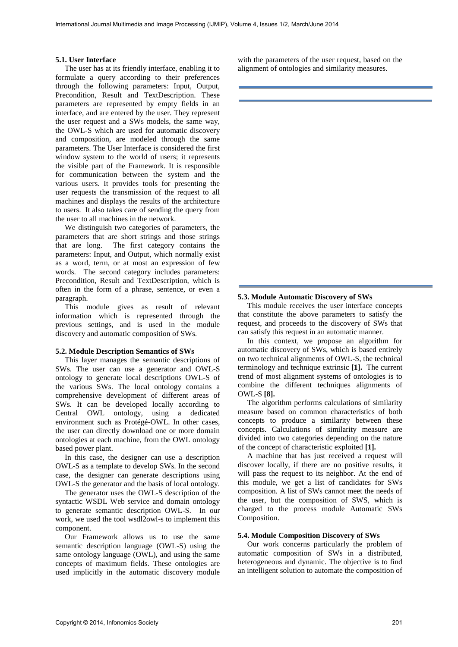#### **5.1. User Interface**

The user has at its friendly interface, enabling it to formulate a query according to their preferences through the following parameters: Input, Output, Precondition, Result and TextDescription. These parameters are represented by empty fields in an interface, and are entered by the user. They represent the user request and a SWs models, the same way, the OWL-S which are used for automatic discovery and composition, are modeled through the same parameters. The User Interface is considered the first window system to the world of users; it represents the visible part of the Framework. It is responsible for communication between the system and the various users. It provides tools for presenting the user requests the transmission of the request to all machines and displays the results of the architecture to users. It also takes care of sending the query from the user to all machines in the network.

We distinguish two categories of parameters, the parameters that are short strings and those strings that are long. The first category contains the parameters: Input, and Output, which normally exist as a word, term, or at most an expression of few words. The second category includes parameters: Precondition, Result and TextDescription, which is often in the form of a phrase, sentence, or even a paragraph.

This module gives as result of relevant information which is represented through the previous settings, and is used in the module discovery and automatic composition of SWs.

#### **5.2. Module Description Semantics of SWs**

This layer manages the semantic descriptions of SWs. The user can use a generator and OWL-S ontology to generate local descriptions OWL-S of the various SWs. The local ontology contains a comprehensive development of different areas of SWs. It can be developed locally according to Central OWL ontology, using a dedicated environment such as Protégé-OWL. In other cases, the user can directly download one or more domain ontologies at each machine, from the OWL ontology based power plant.

In this case, the designer can use a description OWL-S as a template to develop SWs. In the second case, the designer can generate descriptions using OWL-S the generator and the basis of local ontology.

The generator uses the OWL-S description of the syntactic WSDL Web service and domain ontology to generate semantic description OWL-S. In our work, we used the tool wsdl2owl-s to implement this component.

Our Framework allows us to use the same semantic description language (OWL-S) using the same ontology language (OWL), and using the same concepts of maximum fields. These ontologies are used implicitly in the automatic discovery module with the parameters of the user request, based on the alignment of ontologies and similarity measures.

#### **5.3. Module Automatic Discovery of SWs**

This module receives the user interface concepts that constitute the above parameters to satisfy the request, and proceeds to the discovery of SWs that can satisfy this request in an automatic manner.

In this context, we propose an algorithm for automatic discovery of SWs, which is based entirely on two technical alignments of OWL-S, the technical terminology and technique extrinsic **[1].** The current trend of most alignment systems of ontologies is to combine the different techniques alignments of OWL-S **[8].**

The algorithm performs calculations of similarity measure based on common characteristics of both concepts to produce a similarity between these concepts. Calculations of similarity measure are divided into two categories depending on the nature of the concept of characteristic exploited **[1].**

A machine that has just received a request will discover locally, if there are no positive results, it will pass the request to its neighbor. At the end of this module, we get a list of candidates for SWs composition. A list of SWs cannot meet the needs of the user, but the composition of SWS, which is charged to the process module Automatic SWs Composition.

### **5.4. Module Composition Discovery of SWs**

Our work concerns particularly the problem of automatic composition of SWs in a distributed, heterogeneous and dynamic. The objective is to find an intelligent solution to automate the composition of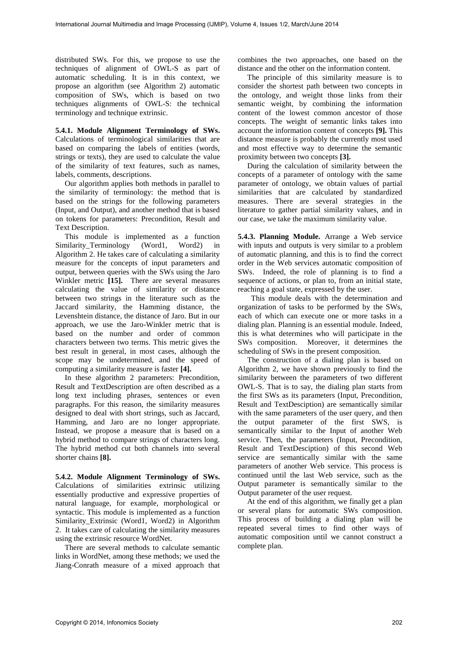distributed SWs. For this, we propose to use the techniques of alignment of OWL-S as part of automatic scheduling. It is in this context, we propose an algorithm (see Algorithm 2) automatic composition of SWs, which is based on two techniques alignments of OWL-S: the technical terminology and technique extrinsic.

**5.4.1. Module Alignment Terminology of SWs.**  Calculations of terminological similarities that are based on comparing the labels of entities (words, strings or texts), they are used to calculate the value of the similarity of text features, such as names, labels, comments, descriptions.

Our algorithm applies both methods in parallel to the similarity of terminology: the method that is based on the strings for the following parameters (Input, and Output), and another method that is based on tokens for parameters: Precondition, Result and Text Description.

This module is implemented as a function Similarity\_Terminology (Word1, Word2) in Algorithm 2. He takes care of calculating a similarity measure for the concepts of input parameters and output, between queries with the SWs using the Jaro Winkler metric **[15].** There are several measures calculating the value of similarity or distance between two strings in the literature such as the Jaccard similarity, the Hamming distance, the Levenshtein distance, the distance of Jaro. But in our approach, we use the Jaro-Winkler metric that is based on the number and order of common characters between two terms. This metric gives the best result in general, in most cases, although the scope may be undetermined, and the speed of computing a similarity measure is faster **[4].**

In these algorithm 2 parameters: Precondition, Result and TextDescription are often described as a long text including phrases, sentences or even paragraphs. For this reason, the similarity measures designed to deal with short strings, such as Jaccard, Hamming, and Jaro are no longer appropriate. Instead, we propose a measure that is based on a hybrid method to compare strings of characters long. The hybrid method cut both channels into several shorter chains **[8].**

**5.4.2. Module Alignment Terminology of SWs.**  Calculations of similarities extrinsic utilizing essentially productive and expressive properties of natural language, for example, morphological or syntactic. This module is implemented as a function Similarity\_Extrinsic (Word1, Word2) in Algorithm 2. It takes care of calculating the similarity measures using the extrinsic resource WordNet.

There are several methods to calculate semantic links in WordNet, among these methods; we used the Jiang-Conrath measure of a mixed approach that

combines the two approaches, one based on the distance and the other on the information content.

The principle of this similarity measure is to consider the shortest path between two concepts in the ontology, and weight those links from their semantic weight, by combining the information content of the lowest common ancestor of those concepts. The weight of semantic links takes into account the information content of concepts **[9].** This distance measure is probably the currently most used and most effective way to determine the semantic proximity between two concepts **[3].**

During the calculation of similarity between the concepts of a parameter of ontology with the same parameter of ontology, we obtain values of partial similarities that are calculated by standardized measures. There are several strategies in the literature to gather partial similarity values, and in our case, we take the maximum similarity value.

**5.4.3. Planning Module.** Arrange a Web service with inputs and outputs is very similar to a problem of automatic planning, and this is to find the correct order in the Web services automatic composition of SWs. Indeed, the role of planning is to find a sequence of actions, or plan to, from an initial state, reaching a goal state, expressed by the user.

This module deals with the determination and organization of tasks to be performed by the SWs, each of which can execute one or more tasks in a dialing plan. Planning is an essential module. Indeed, this is what determines who will participate in the SWs composition. Moreover, it determines the scheduling of SWs in the present composition.

The construction of a dialing plan is based on Algorithm 2, we have shown previously to find the similarity between the parameters of two different OWL-S. That is to say, the dialing plan starts from the first SWs as its parameters (Input, Precondition, Result and TextDesciption) are semantically similar with the same parameters of the user query, and then the output parameter of the first SWS, is semantically similar to the Input of another Web service. Then, the parameters (Input, Precondition, Result and TextDesciption) of this second Web service are semantically similar with the same parameters of another Web service. This process is continued until the last Web service, such as the Output parameter is semantically similar to the Output parameter of the user request.

At the end of this algorithm, we finally get a plan or several plans for automatic SWs composition. This process of building a dialing plan will be repeated several times to find other ways of automatic composition until we cannot construct a complete plan.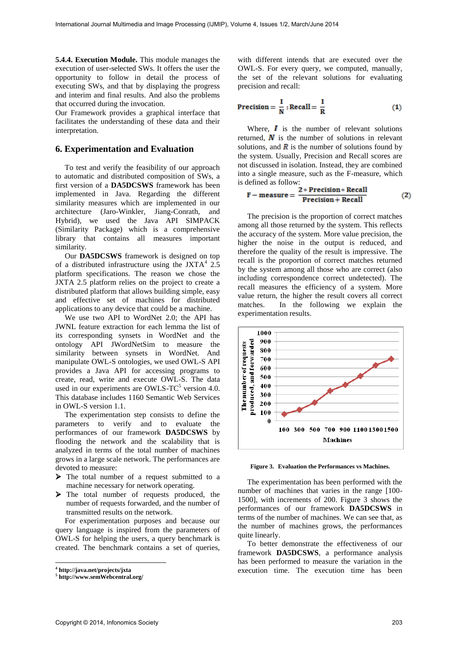**5.4.4. Execution Module.** This module manages the execution of user-selected SWs. It offers the user the opportunity to follow in detail the process of executing SWs, and that by displaying the progress and interim and final results. And also the problems that occurred during the invocation.

Our Framework provides a graphical interface that facilitates the understanding of these data and their interpretation.

### **6. Experimentation and Evaluation**

To test and verify the feasibility of our approach to automatic and distributed composition of SWs, a first version of a **DA5DCSWS** framework has been implemented in Java. Regarding the different similarity measures which are implemented in our architecture (Jaro-Winkler, Jiang-Conrath, and Hybrid), we used the Java API SIMPACK (Similarity Package) which is a comprehensive library that contains all measures important similarity.

Our **DA5DCSWS** framework is designed on top of a distributed infrastructure using the JXTA $4$  2.5 platform specifications. The reason we chose the JXTA 2.5 platform relies on the project to create a distributed platform that allows building simple, easy and effective set of machines for distributed applications to any device that could be a machine.

We use two API to WordNet 2.0; the API has JWNL feature extraction for each lemma the list of its corresponding synsets in WordNet and the ontology API JWordNetSim to measure the similarity between synsets in WordNet. And manipulate OWL-S ontologies, we used OWL-S API provides a Java API for accessing programs to create, read, write and execute OWL-S. The data used in our experiments are OWLS- $TC^5$  version 4.0. This database includes 1160 Semantic Web Services in OWL-S version 1.1.

The experimentation step consists to define the parameters to verify and to evaluate the performances of our framework **DA5DCSWS** by flooding the network and the scalability that is analyzed in terms of the total number of machines grows in a large scale network. The performances are devoted to measure:

- The total number of a request submitted to a machine necessary for network operating.
- $\triangleright$  The total number of requests produced, the number of requests forwarded, and the number of transmitted results on the network.

For experimentation purposes and because our query language is inspired from the parameters of OWL-S for helping the users, a query benchmark is created. The benchmark contains a set of queries,

-

with different intends that are executed over the OWL-S. For every query, we computed, manually, the set of the relevant solutions for evaluating precision and recall:

$$
Precision = \frac{I}{N} , Recall = \frac{I}{R}
$$
 (1)

Where,  $\boldsymbol{I}$  is the number of relevant solutions returned,  $\bf{N}$  is the number of solutions in relevant solutions, and  $\vec{R}$  is the number of solutions found by the system. Usually, Precision and Recall scores are not discussed in isolation. Instead, they are combined into a single measure, such as the F-measure, which is defined as follow:

$$
F-measure = \frac{2*Precision*Recall}{Precision+Recall}
$$
 (2)

The precision is the proportion of correct matches among all those returned by the system. This reflects the accuracy of the system. More value precision, the higher the noise in the output is reduced, and therefore the quality of the result is impressive. The recall is the proportion of correct matches returned by the system among all those who are correct (also including correspondence correct undetected). The recall measures the efficiency of a system. More value return, the higher the result covers all correct matches. In the following we explain the experimentation results.



**Figure 3. Evaluation the Performances vs Machines.** 

The experimentation has been performed with the number of machines that varies in the range [100- 1500], with increments of 200. Figure 3 shows the performances of our framework **DA5DCSWS** in terms of the number of machines. We can see that, as the number of machines grows, the performances quite linearly.

To better demonstrate the effectiveness of our framework **DA5DCSWS**, a performance analysis has been performed to measure the variation in the execution time. The execution time has been

**<sup>4</sup> http://java.net/projects/jxta** 

**<sup>5</sup> http://www.semWebcentral.org/**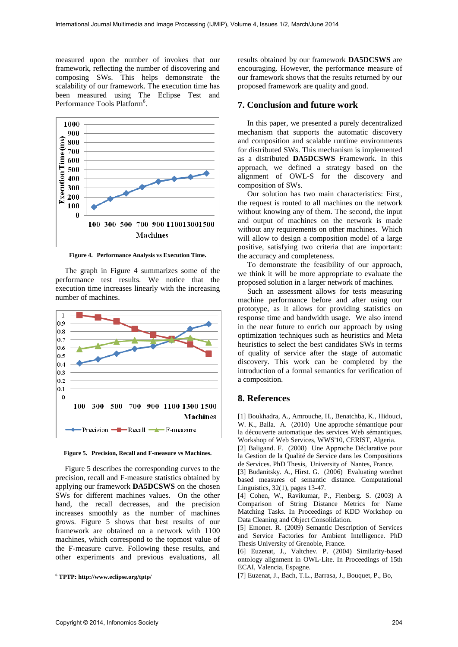measured upon the number of invokes that our framework, reflecting the number of discovering and composing SWs. This helps demonstrate the scalability of our framework. The execution time has been measured using The Eclipse Test and Performance Tools Platform<sup>6</sup>.



**Figure 4. Performance Analysis vs Execution Time.** 

The graph in Figure 4 summarizes some of the performance test results. We notice that the execution time increases linearly with the increasing number of machines.



**Figure 5. Precision, Recall and F-measure vs Machines.** 

Figure 5 describes the corresponding curves to the precision, recall and F-measure statistics obtained by applying our framework **DA5DCSWS** on the chosen SWs for different machines values. On the other hand, the recall decreases, and the precision increases smoothly as the number of machines grows. Figure 5 shows that best results of our framework are obtained on a network with 1100 machines, which correspond to the topmost value of the F-measure curve. Following these results, and other experiments and previous evaluations, all

results obtained by our framework **DA5DCSWS** are encouraging. However, the performance measure of our framework shows that the results returned by our proposed framework are quality and good.

# **7. Conclusion and future work**

In this paper, we presented a purely decentralized mechanism that supports the automatic discovery and composition and scalable runtime environments for distributed SWs. This mechanism is implemented as a distributed **DA5DCSWS** Framework. In this approach, we defined a strategy based on the alignment of OWL-S for the discovery and composition of SWs.

Our solution has two main characteristics: First, the request is routed to all machines on the network without knowing any of them. The second, the input and output of machines on the network is made without any requirements on other machines. Which will allow to design a composition model of a large positive, satisfying two criteria that are important: the accuracy and completeness.

To demonstrate the feasibility of our approach, we think it will be more appropriate to evaluate the proposed solution in a larger network of machines.

Such an assessment allows for tests measuring machine performance before and after using our prototype, as it allows for providing statistics on response time and bandwidth usage. We also intend in the near future to enrich our approach by using optimization techniques such as heuristics and Meta heuristics to select the best candidates SWs in terms of quality of service after the stage of automatic discovery. This work can be completed by the introduction of a formal semantics for verification of a composition.

# **8. References**

[1] Boukhadra, A., Amrouche, H., Benatchba, K., Hidouci, W. K., Balla. A. (2010) Une approche sémantique pour la découverte automatique des services Web sémantiques. Workshop of Web Services, WWS'10, CERIST, Algeria.

[2] Baligand. F. (2008) Une Approche Déclarative pour la Gestion de la Qualité de Service dans les Compositions de Services. PhD Thesis, University of Nantes, France.

[3] Budanitsky. A., Hirst. G. (2006) Evaluating wordnet based measures of semantic distance. Computational Linguistics, 32(1), pages 13-47.

[4] Cohen, W., Ravikumar, P., Fienberg. S. (2003) A Comparison of String Distance Metrics for Name Matching Tasks. In Proceedings of KDD Workshop on Data Cleaning and Object Consolidation.

[5] Emonet. R. (2009) Semantic Description of Services and Service Factories for Ambient Intelligence. PhD Thesis University of Grenoble, France.

[6] Euzenat, J., Valtchev. P. (2004) Similarity-based ontology alignment in OWL-Lite. In Proceedings of 15th ECAI, Valencia, Espagne.

[7] Euzenat, J., Bach, T.L., Barrasa, J., Bouquet, P., Bo,

 **6 TPTP: http://www.eclipse.org/tptp/**